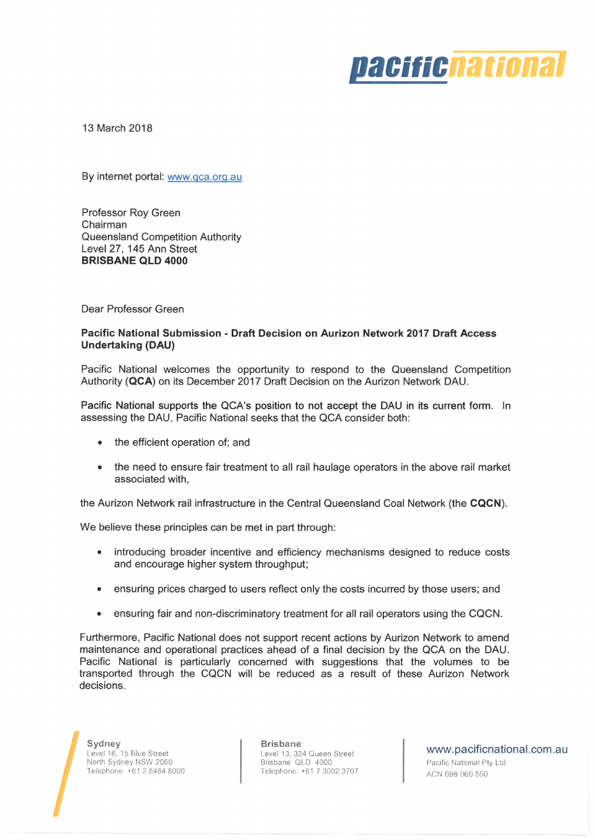

13 March 2018

By internet portal: [www.qca.orq.au](http://www.qca.orq.au)

Professor Roy Green Chairman Queensland Competition Authority Level 27, 145 Ann Street **BRISBANE QLD 4000**

Dear Professor Green

#### **Pacific National Submission - Draft Decision on Aurizon Network 2017 Draft Access Undertaking (DAU)**

Pacific National welcomes the opportunity to respond to the Queensland Competition Authority **(QCA)** on its December 2017 Draft Decision on the Aurizon Network DAU.

Pacific National supports the QCA's position to not accept the DAU in its current form. In assessing the DAU, Pacific National seeks that the QCA consider both:

- the efficient operation of; and
- the need to ensure fair treatment to all rail haulage operators in the above rail market associated with,

the Aurizon Network rail infrastructure in the Central Queensland Coal Network (the **CQCN).**

We believe these principles can be met in part through:

- introducing broader incentive and efficiency mechanisms designed to reduce costs and encourage higher system throughput;
- ensuring prices charged to users reflect only the costs incurred by those users; and
- ensuring fair and non-discriminatory treatment for all rail operators using the CQCN.

Furthermore, Pacific National does not support recent actions by Aurizon Network to amend maintenance and operational practices ahead of a final decision by the QCA on the DAU. Pacific National is particularly concerned with suggestions that the volumes to be transported through the CQCN will be reduced as a result of these Aurizon Network decisions.

**Sydney** Level 16, 15 Blue Street North Sydney NSW 2060 Telephone: +61 2 8484 8000 **Brisbane** Level 13, 324 Queen Street Brisbane QLD 4000 Telephone: +61 7 3002 3707

[www.pacificnational.com.au](http://www.pacificnational.com.au)

Pacific National Pty Ltd ACN 098 060 550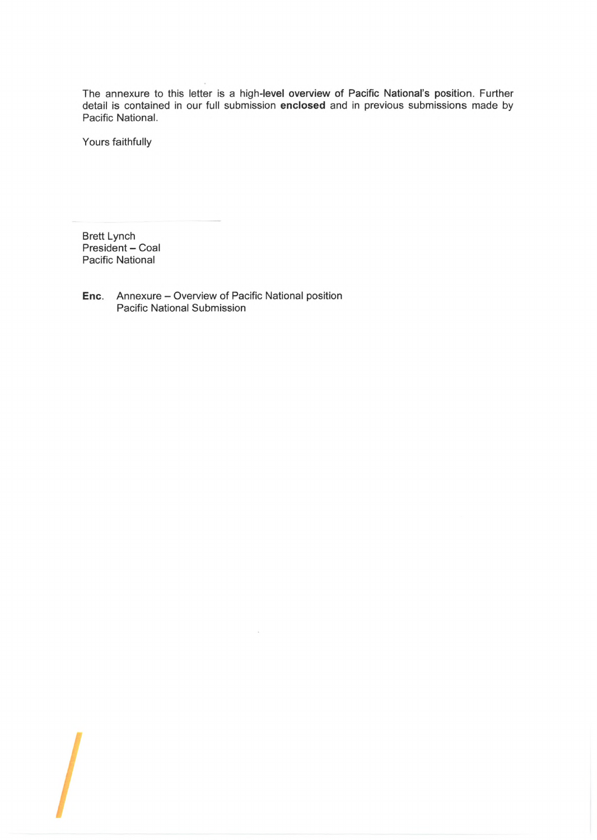The annexure to this letter is a high-level overview of Pacific National's position. Further detail is contained in our full submission **enclosed** and in previous submissions made by Pacific National.

Yours faithfully

Brett Lynch President - Coal Pacific National

**Enc.** Annexure - Overview of Pacific National position Pacific National Submission